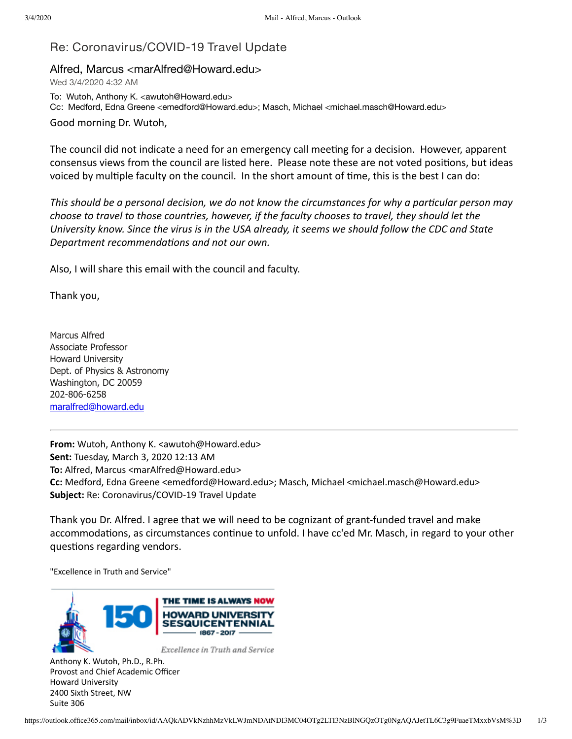## Re: Coronavirus/COVID-19 Travel Update

## Alfred, Marcus <marAlfred@Howard.edu>

Wed 3/4/2020 4:32 AM

To: Wutoh, Anthony K. <awutoh@Howard.edu> Cc: Medford, Edna Greene <emedford@Howard.edu>; Masch, Michael <michael.masch@Howard.edu>

Good morning Dr. Wutoh,

The council did not indicate a need for an emergency call meeting for a decision. However, apparent consensus views from the council are listed here. Please note these are not voted positions, but ideas voiced by multiple faculty on the council. In the short amount of time, this is the best I can do:

*This should be a personal decision, we do not know the circumstances for why a particular person may choose to travel to those countries, however, if the faculty chooses to travel, they should let the University know. Since the virus is in the USA already, it seems we should follow the CDC and State* **Department recommendations and not our own.** 

Also, I will share this email with the council and faculty.

Thank you,

Marcus Alfred Associate Professor Howard University Dept. of Physics & Astronomy Washington, DC 20059 202-806-6258 [maralfred@howard.edu](mailto:maralfred@howard.edu)

**From:** Wutoh, Anthony K. <awutoh@Howard.edu> **Sent:** Tuesday, March 3, 2020 12:13 AM **To:** Alfred, Marcus <marAlfred@Howard.edu> **Cc:** Medford, Edna Greene <emedford@Howard.edu>; Masch, Michael <michael.masch@Howard.edu> **Subject:** Re: Coronavirus/COVID-19 Travel Update

Thank you Dr. Alfred. I agree that we will need to be cognizant of grant-funded travel and make accommodations, as circumstances continue to unfold. I have cc'ed Mr. Masch, in regard to your other questions regarding vendors.

"Excellence in Truth and Service"



Anthony K. Wutoh, Ph.D., R.Ph. Provost and Chief Academic Officer Howard University 2400 Sixth Street, NW Suite 306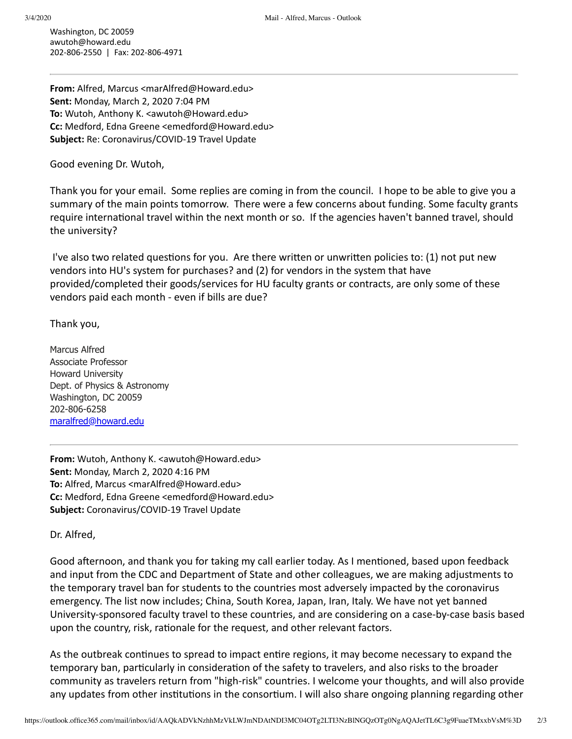Washington, DC 20059 awutoh@howard.edu 202-806-2550 | Fax: 202-806-4971

**From:** Alfred, Marcus <marAlfred@Howard.edu> **Sent:** Monday, March 2, 2020 7:04 PM **To:** Wutoh, Anthony K. <awutoh@Howard.edu> **Cc:** Medford, Edna Greene <emedford@Howard.edu> **Subject:** Re: Coronavirus/COVID-19 Travel Update

Good evening Dr. Wutoh,

Thank you for your email. Some replies are coming in from the council. I hope to be able to give you a summary of the main points tomorrow. There were a few concerns about funding. Some faculty grants require international travel within the next month or so. If the agencies haven't banned travel, should the university?

I've also two related questions for you. Are there written or unwritten policies to:  $(1)$  not put new vendors into HU's system for purchases? and (2) for vendors in the system that have provided/completed their goods/services for HU faculty grants or contracts, are only some of these vendors paid each month - even if bills are due?

Thank you,

Marcus Alfred Associate Professor Howard University Dept. of Physics & Astronomy Washington, DC 20059 202-806-6258 [maralfred@howard.edu](mailto:maralfred@howard.edu)

**From:** Wutoh, Anthony K. <awutoh@Howard.edu> **Sent:** Monday, March 2, 2020 4:16 PM **To:** Alfred, Marcus <marAlfred@Howard.edu> **Cc:** Medford, Edna Greene <emedford@Howard.edu> **Subject:** Coronavirus/COVID-19 Travel Update

Dr. Alfred,

Good afternoon, and thank you for taking my call earlier today. As I mentioned, based upon feedback and input from the CDC and Department of State and other colleagues, we are making adjustments to the temporary travel ban for students to the countries most adversely impacted by the coronavirus emergency. The list now includes; China, South Korea, Japan, Iran, Italy. We have not yet banned University-sponsored faculty travel to these countries, and are considering on a case-by-case basis based upon the country, risk, rationale for the request, and other relevant factors.

As the outbreak continues to spread to impact entire regions, it may become necessary to expand the temporary ban, particularly in consideration of the safety to travelers, and also risks to the broader community as travelers return from "high-risk" countries. I welcome your thoughts, and will also provide any updates from other institutions in the consortium. I will also share ongoing planning regarding other